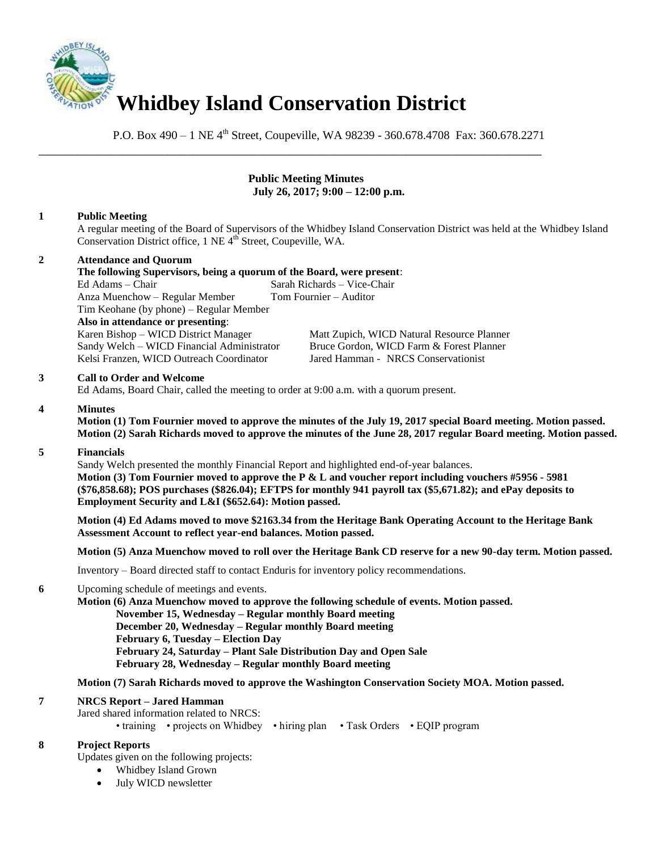

P.O. Box  $490 - 1$  NE  $4<sup>th</sup>$  Street, Coupeville, WA 98239 - 360.678.4708 Fax: 360.678.2271

\_\_\_\_\_\_\_\_\_\_\_\_\_\_\_\_\_\_\_\_\_\_\_\_\_\_\_\_\_\_\_\_\_\_\_\_\_\_\_\_\_\_\_\_\_\_\_\_\_\_\_\_\_\_\_\_\_\_\_\_\_\_\_\_\_\_\_\_\_\_\_\_\_\_\_\_\_\_

## **Public Meeting Minutes July 26, 2017; 9:00 – 12:00 p.m.**

# **1 Public Meeting**

A regular meeting of the Board of Supervisors of the Whidbey Island Conservation District was held at the Whidbey Island Conservation District office, 1 NE 4<sup>th</sup> Street, Coupeville, WA.

# **2 Attendance and Quorum**

| The following Supervisors, being a quorum of the Board, were present: |                                            |                                            |
|-----------------------------------------------------------------------|--------------------------------------------|--------------------------------------------|
| Ed Adams – Chair                                                      |                                            | Sarah Richards – Vice-Chair                |
|                                                                       | Anza Muenchow - Regular Member             | Tom Fournier – Auditor                     |
| Tim Keohane (by phone) – Regular Member                               |                                            |                                            |
|                                                                       | Also in attendance or presenting:          |                                            |
|                                                                       | Karen Bishop – WICD District Manager       | Matt Zupich, WICD Natural Resource Planner |
|                                                                       | Sandy Welch – WICD Financial Administrator | Bruce Gordon, WICD Farm & Forest Planner   |

Kelsi Franzen, WICD Outreach Coordinator Jared Hamman - NRCS Conservationist

## **3 Call to Order and Welcome**

Ed Adams, Board Chair, called the meeting to order at 9:00 a.m. with a quorum present.

#### **4 Minutes**

**Motion (1) Tom Fournier moved to approve the minutes of the July 19, 2017 special Board meeting. Motion passed. Motion (2) Sarah Richards moved to approve the minutes of the June 28, 2017 regular Board meeting. Motion passed.** 

# **5 Financials**

Sandy Welch presented the monthly Financial Report and highlighted end-of-year balances.  **Motion (3) Tom Fournier moved to approve the P & L and voucher report including vouchers #5956 - 5981 (\$76,858.68); POS purchases (\$826.04); EFTPS for monthly 941 payroll tax (\$5,671.82); and ePay deposits to Employment Security and L&I (\$652.64): Motion passed.** 

**Motion (4) Ed Adams moved to move \$2163.34 from the Heritage Bank Operating Account to the Heritage Bank Assessment Account to reflect year-end balances. Motion passed.** 

**Motion (5) Anza Muenchow moved to roll over the Heritage Bank CD reserve for a new 90-day term. Motion passed.** 

Inventory – Board directed staff to contact Enduris for inventory policy recommendations.

## **6** Upcoming schedule of meetings and events.

 **Motion (6) Anza Muenchow moved to approve the following schedule of events. Motion passed. November 15, Wednesday – Regular monthly Board meeting December 20, Wednesday – Regular monthly Board meeting February 6, Tuesday – Election Day February 24, Saturday – Plant Sale Distribution Day and Open Sale February 28, Wednesday – Regular monthly Board meeting** 

**Motion (7) Sarah Richards moved to approve the Washington Conservation Society MOA. Motion passed.** 

#### **7 NRCS Report – Jared Hamman**

Jared shared information related to NRCS:

• training • projects on Whidbey • hiring plan • Task Orders • EQIP program

# **8 Project Reports**

Updates given on the following projects:

- Whidbey Island Grown
- July WICD newsletter